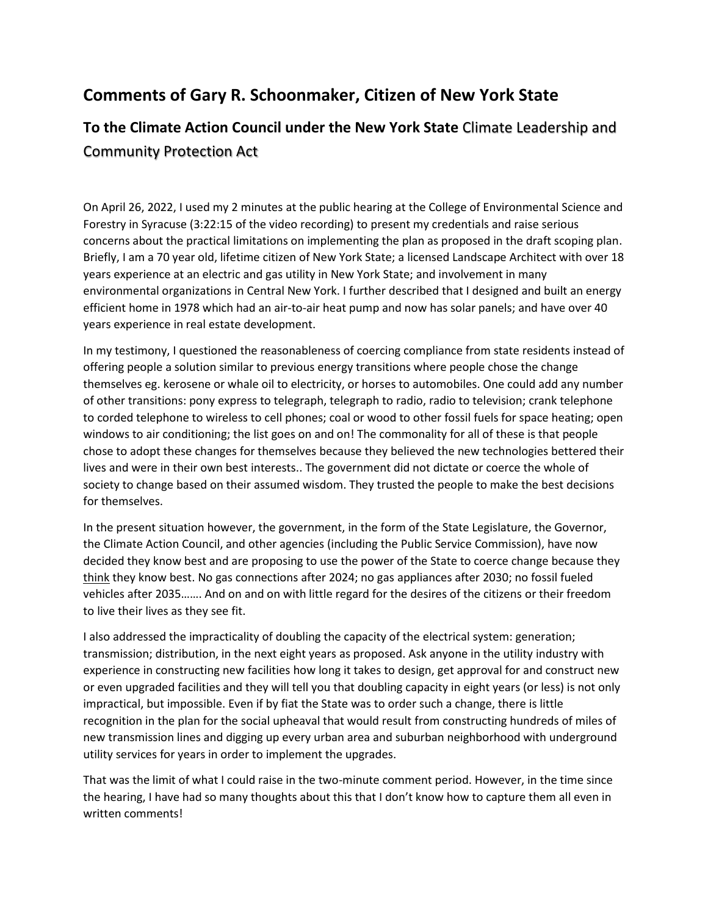# **Comments of Gary R. Schoonmaker, Citizen of New York State**

# **To the Climate Action Council under the New York State** Climate [Leadership](https://climate.ny.gov/) and [Community](https://climate.ny.gov/) Protection Act

On April 26, 2022, I used my 2 minutes at the public hearing at the College of Environmental Science and Forestry in Syracuse (3:22:15 of the video recording) to present my credentials and raise serious concerns about the practical limitations on implementing the plan as proposed in the draft scoping plan. Briefly, I am a 70 year old, lifetime citizen of New York State; a licensed Landscape Architect with over 18 years experience at an electric and gas utility in New York State; and involvement in many environmental organizations in Central New York. I further described that I designed and built an energy efficient home in 1978 which had an air-to-air heat pump and now has solar panels; and have over 40 years experience in real estate development.

In my testimony, I questioned the reasonableness of coercing compliance from state residents instead of offering people a solution similar to previous energy transitions where people chose the change themselves eg. kerosene or whale oil to electricity, or horses to automobiles. One could add any number of other transitions: pony express to telegraph, telegraph to radio, radio to television; crank telephone to corded telephone to wireless to cell phones; coal or wood to other fossil fuels for space heating; open windows to air conditioning; the list goes on and on! The commonality for all of these is that people chose to adopt these changes for themselves because they believed the new technologies bettered their lives and were in their own best interests.. The government did not dictate or coerce the whole of society to change based on their assumed wisdom. They trusted the people to make the best decisions for themselves.

In the present situation however, the government, in the form of the State Legislature, the Governor, the Climate Action Council, and other agencies (including the Public Service Commission), have now decided they know best and are proposing to use the power of the State to coerce change because they think they know best. No gas connections after 2024; no gas appliances after 2030; no fossil fueled vehicles after 2035……. And on and on with little regard for the desires of the citizens or their freedom to live their lives as they see fit.

I also addressed the impracticality of doubling the capacity of the electrical system: generation; transmission; distribution, in the next eight years as proposed. Ask anyone in the utility industry with experience in constructing new facilities how long it takes to design, get approval for and construct new or even upgraded facilities and they will tell you that doubling capacity in eight years (or less) is not only impractical, but impossible. Even if by fiat the State was to order such a change, there is little recognition in the plan for the social upheaval that would result from constructing hundreds of miles of new transmission lines and digging up every urban area and suburban neighborhood with underground utility services for years in order to implement the upgrades.

That was the limit of what I could raise in the two-minute comment period. However, in the time since the hearing, I have had so many thoughts about this that I don't know how to capture them all even in written comments!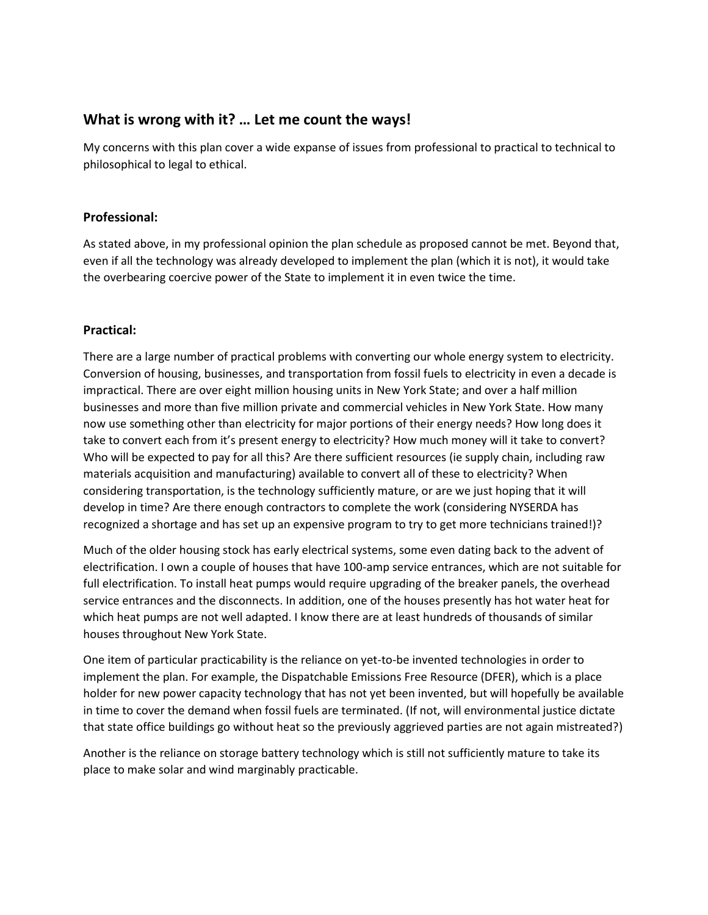# **What is wrong with it? … Let me count the ways!**

My concerns with this plan cover a wide expanse of issues from professional to practical to technical to philosophical to legal to ethical.

## **Professional:**

As stated above, in my professional opinion the plan schedule as proposed cannot be met. Beyond that, even if all the technology was already developed to implement the plan (which it is not), it would take the overbearing coercive power of the State to implement it in even twice the time.

#### **Practical:**

There are a large number of practical problems with converting our whole energy system to electricity. Conversion of housing, businesses, and transportation from fossil fuels to electricity in even a decade is impractical. There are over eight million housing units in New York State; and over a half million businesses and more than five million private and commercial vehicles in New York State. How many now use something other than electricity for major portions of their energy needs? How long does it take to convert each from it's present energy to electricity? How much money will it take to convert? Who will be expected to pay for all this? Are there sufficient resources (ie supply chain, including raw materials acquisition and manufacturing) available to convert all of these to electricity? When considering transportation, is the technology sufficiently mature, or are we just hoping that it will develop in time? Are there enough contractors to complete the work (considering NYSERDA has recognized a shortage and has set up an expensive program to try to get more technicians trained!)?

Much of the older housing stock has early electrical systems, some even dating back to the advent of electrification. I own a couple of houses that have 100-amp service entrances, which are not suitable for full electrification. To install heat pumps would require upgrading of the breaker panels, the overhead service entrances and the disconnects. In addition, one of the houses presently has hot water heat for which heat pumps are not well adapted. I know there are at least hundreds of thousands of similar houses throughout New York State.

One item of particular practicability is the reliance on yet-to-be invented technologies in order to implement the plan. For example, the Dispatchable Emissions Free Resource (DFER), which is a place holder for new power capacity technology that has not yet been invented, but will hopefully be available in time to cover the demand when fossil fuels are terminated. (If not, will environmental justice dictate that state office buildings go without heat so the previously aggrieved parties are not again mistreated?)

Another is the reliance on storage battery technology which is still not sufficiently mature to take its place to make solar and wind marginably practicable.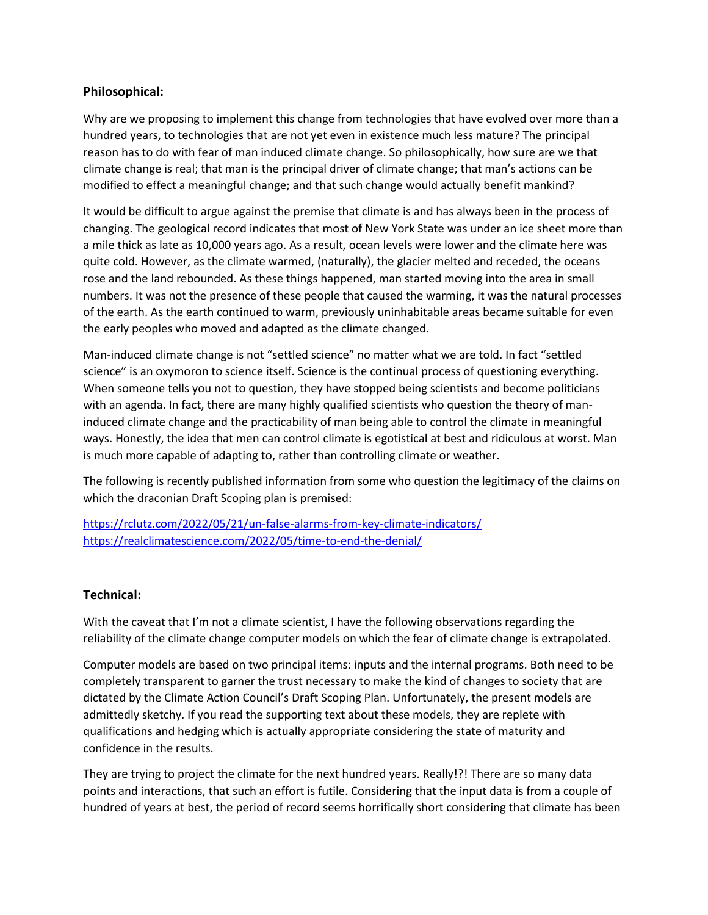## **Philosophical:**

Why are we proposing to implement this change from technologies that have evolved over more than a hundred years, to technologies that are not yet even in existence much less mature? The principal reason has to do with fear of man induced climate change. So philosophically, how sure are we that climate change is real; that man is the principal driver of climate change; that man's actions can be modified to effect a meaningful change; and that such change would actually benefit mankind?

It would be difficult to argue against the premise that climate is and has always been in the process of changing. The geological record indicates that most of New York State was under an ice sheet more than a mile thick as late as 10,000 years ago. As a result, ocean levels were lower and the climate here was quite cold. However, as the climate warmed, (naturally), the glacier melted and receded, the oceans rose and the land rebounded. As these things happened, man started moving into the area in small numbers. It was not the presence of these people that caused the warming, it was the natural processes of the earth. As the earth continued to warm, previously uninhabitable areas became suitable for even the early peoples who moved and adapted as the climate changed.

Man-induced climate change is not "settled science" no matter what we are told. In fact "settled science" is an oxymoron to science itself. Science is the continual process of questioning everything. When someone tells you not to question, they have stopped being scientists and become politicians with an agenda. In fact, there are many highly qualified scientists who question the theory of maninduced climate change and the practicability of man being able to control the climate in meaningful ways. Honestly, the idea that men can control climate is egotistical at best and ridiculous at worst. Man is much more capable of adapting to, rather than controlling climate or weather.

The following is recently published information from some who question the legitimacy of the claims on which the draconian Draft Scoping plan is premised:

<https://rclutz.com/2022/05/21/un-false-alarms-from-key-climate-indicators/> <https://realclimatescience.com/2022/05/time-to-end-the-denial/>

## **Technical:**

With the caveat that I'm not a climate scientist, I have the following observations regarding the reliability of the climate change computer models on which the fear of climate change is extrapolated.

Computer models are based on two principal items: inputs and the internal programs. Both need to be completely transparent to garner the trust necessary to make the kind of changes to society that are dictated by the Climate Action Council's Draft Scoping Plan. Unfortunately, the present models are admittedly sketchy. If you read the supporting text about these models, they are replete with qualifications and hedging which is actually appropriate considering the state of maturity and confidence in the results.

They are trying to project the climate for the next hundred years. Really!?! There are so many data points and interactions, that such an effort is futile. Considering that the input data is from a couple of hundred of years at best, the period of record seems horrifically short considering that climate has been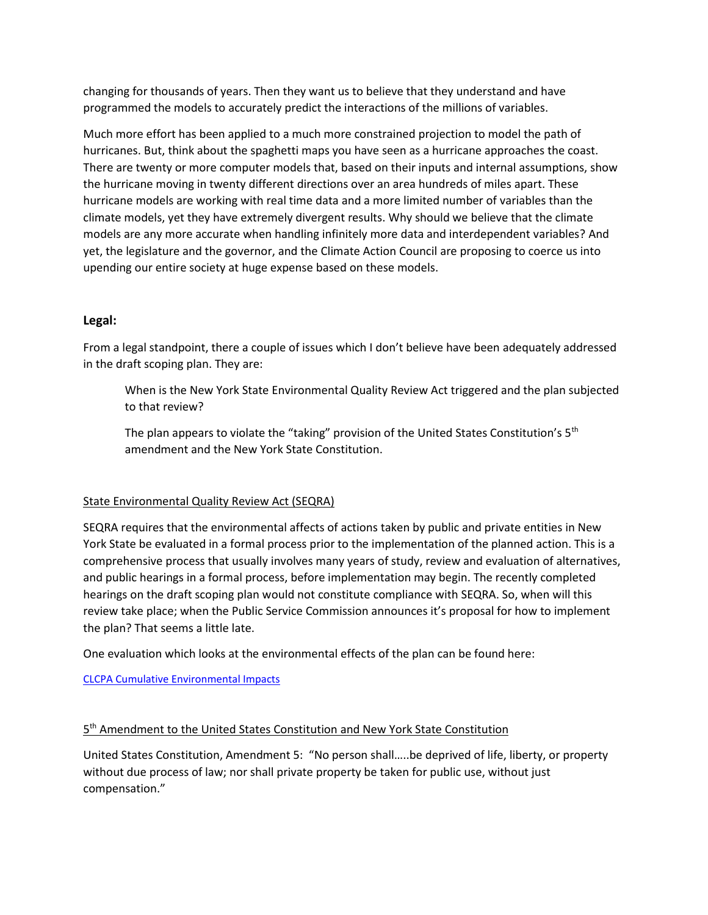changing for thousands of years. Then they want us to believe that they understand and have programmed the models to accurately predict the interactions of the millions of variables.

Much more effort has been applied to a much more constrained projection to model the path of hurricanes. But, think about the spaghetti maps you have seen as a hurricane approaches the coast. There are twenty or more computer models that, based on their inputs and internal assumptions, show the hurricane moving in twenty different directions over an area hundreds of miles apart. These hurricane models are working with real time data and a more limited number of variables than the climate models, yet they have extremely divergent results. Why should we believe that the climate models are any more accurate when handling infinitely more data and interdependent variables? And yet, the legislature and the governor, and the Climate Action Council are proposing to coerce us into upending our entire society at huge expense based on these models.

## **Legal:**

From a legal standpoint, there a couple of issues which I don't believe have been adequately addressed in the draft scoping plan. They are:

When is the New York State Environmental Quality Review Act triggered and the plan subjected to that review?

The plan appears to violate the "taking" provision of the United States Constitution's  $5<sup>th</sup>$ amendment and the New York State Constitution.

#### State Environmental Quality Review Act (SEQRA)

SEQRA requires that the environmental affects of actions taken by public and private entities in New York State be evaluated in a formal process prior to the implementation of the planned action. This is a comprehensive process that usually involves many years of study, review and evaluation of alternatives, and public hearings in a formal process, before implementation may begin. The recently completed hearings on the draft scoping plan would not constitute compliance with SEQRA. So, when will this review take place; when the Public Service Commission announces it's proposal for how to implement the plan? That seems a little late.

One evaluation which looks at the environmental effects of the plan can be found here:

[CLCPA Cumulative Environmental Impacts](https://wp.me/p8hgeb-Bl) 

#### 5<sup>th</sup> Amendment to the United States Constitution and New York State Constitution

United States Constitution, Amendment 5: "No person shall…..be deprived of life, liberty, or property without due process of law; nor shall private property be taken for public use, without just compensation."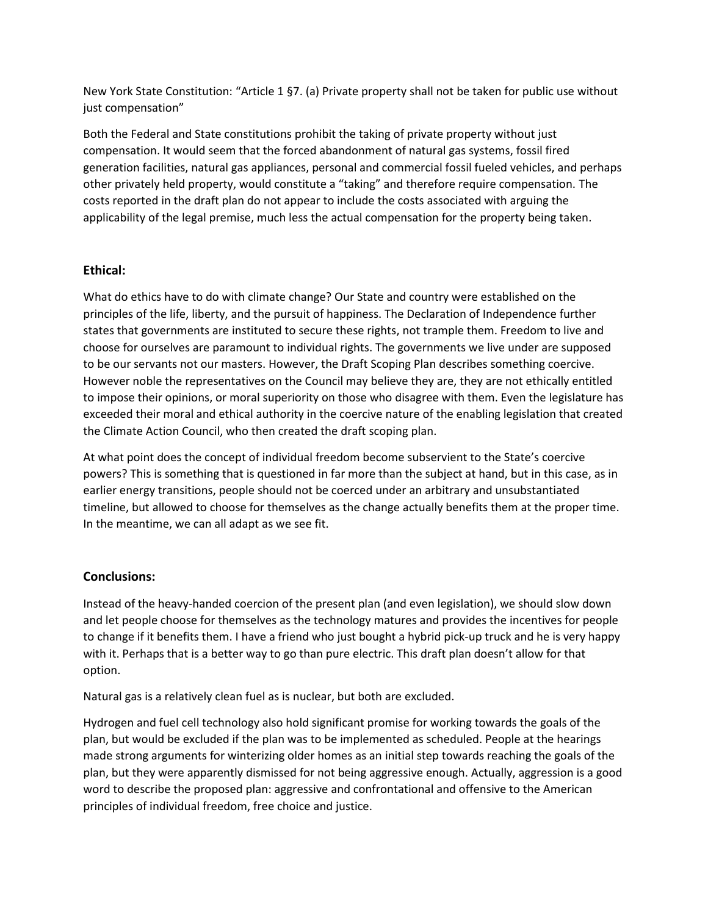New York State Constitution: "Article 1 §7. (a) Private property shall not be taken for public use without just compensation"

Both the Federal and State constitutions prohibit the taking of private property without just compensation. It would seem that the forced abandonment of natural gas systems, fossil fired generation facilities, natural gas appliances, personal and commercial fossil fueled vehicles, and perhaps other privately held property, would constitute a "taking" and therefore require compensation. The costs reported in the draft plan do not appear to include the costs associated with arguing the applicability of the legal premise, much less the actual compensation for the property being taken.

## **Ethical:**

What do ethics have to do with climate change? Our State and country were established on the principles of the life, liberty, and the pursuit of happiness. The Declaration of Independence further states that governments are instituted to secure these rights, not trample them. Freedom to live and choose for ourselves are paramount to individual rights. The governments we live under are supposed to be our servants not our masters. However, the Draft Scoping Plan describes something coercive. However noble the representatives on the Council may believe they are, they are not ethically entitled to impose their opinions, or moral superiority on those who disagree with them. Even the legislature has exceeded their moral and ethical authority in the coercive nature of the enabling legislation that created the Climate Action Council, who then created the draft scoping plan.

At what point does the concept of individual freedom become subservient to the State's coercive powers? This is something that is questioned in far more than the subject at hand, but in this case, as in earlier energy transitions, people should not be coerced under an arbitrary and unsubstantiated timeline, but allowed to choose for themselves as the change actually benefits them at the proper time. In the meantime, we can all adapt as we see fit.

## **Conclusions:**

Instead of the heavy-handed coercion of the present plan (and even legislation), we should slow down and let people choose for themselves as the technology matures and provides the incentives for people to change if it benefits them. I have a friend who just bought a hybrid pick-up truck and he is very happy with it. Perhaps that is a better way to go than pure electric. This draft plan doesn't allow for that option.

Natural gas is a relatively clean fuel as is nuclear, but both are excluded.

Hydrogen and fuel cell technology also hold significant promise for working towards the goals of the plan, but would be excluded if the plan was to be implemented as scheduled. People at the hearings made strong arguments for winterizing older homes as an initial step towards reaching the goals of the plan, but they were apparently dismissed for not being aggressive enough. Actually, aggression is a good word to describe the proposed plan: aggressive and confrontational and offensive to the American principles of individual freedom, free choice and justice.